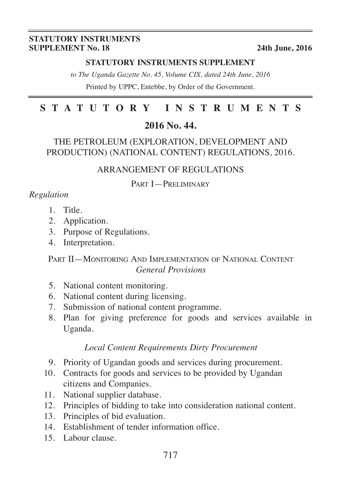#### **STATUTORY INSTRUMENTS SUPPLEMENT No. 18** 24th June, 2016

#### **STATUTORY INSTRUMENTS SUPPLEMENT**

*to The Uganda Gazette No. 45, Volume CIX, dated 24th June, 2016* Printed by UPPC, Entebbe, by Order of the Government.

# **STATUTORY INSTRUMENTS**

## **2016 No. 44.**

#### THE PETROLEUM (EXPLORATION, DEVELOPMENT AND PRODUCTION) (NATIONAL CONTENT) REGULATIONS, 2016.

#### ARRANGEMENT OF REGULATIONS

#### PART **I**-PRELIMINARY

## *Regulation*

- 1. Title.
- 2. Application.
- 3. Purpose of Regulations.
- 4. Interpretation.

#### PART II—MONITORING AND IMPLEMENTATION OF NATIONAL CONTENT *General Provisions*

- 5. National content monitoring.
- 6. National content during licensing.
- 7. Submission of national content programme.
- 8. Plan for giving preference for goods and services available in Uganda.

#### *Local Content Requirements Dirty Procurement*

- 9. Priority of Ugandan goods and services during procurement.
- 10. Contracts for goods and services to be provided by Ugandan citizens and Companies.
- 11. National supplier database.
- 12. Principles of bidding to take into consideration national content.
- 13. Principles of bid evaluation.
- 14. Establishment of tender information office.
- 15. Labour clause.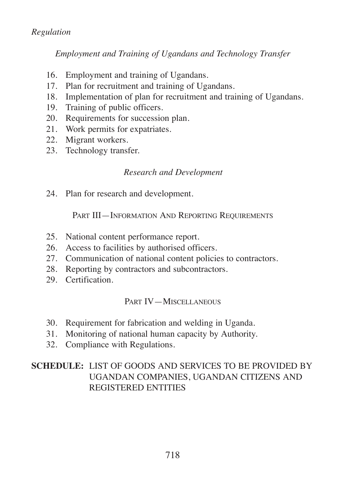## *Regulation*

*Employment and Training of Ugandans and Technology Transfer*

- 16. Employment and training of Ugandans.
- 17. Plan for recruitment and training of Ugandans.
- 18. Implementation of plan for recruitment and training of Ugandans.
- 19. Training of public officers.
- 20. Requirements for succession plan.
- 21. Work permits for expatriates.
- 22. Migrant workers.
- 23. Technology transfer.

#### *Research and Development*

24. Plan for research and development.

PART III—INFORMATION AND REPORTING REQUIREMENTS

- 25. National content performance report.
- 26. Access to facilities by authorised officers.
- 27. Communication of national content policies to contractors.
- 28. Reporting by contractors and subcontractors.
- 29. Certification.

#### PART IV—MISCELLANEOUS

- 30. Requirement for fabrication and welding in Uganda.
- 31. Monitoring of national human capacity by Authority.
- 32. Compliance with Regulations.

## **SCHEDULE:** LIST OF GOODS AND SERVICES TO BE PROVIDED BY UGANDAN COMPANIES, UGANDAN CITIZENS AND REGISTERED ENTITIES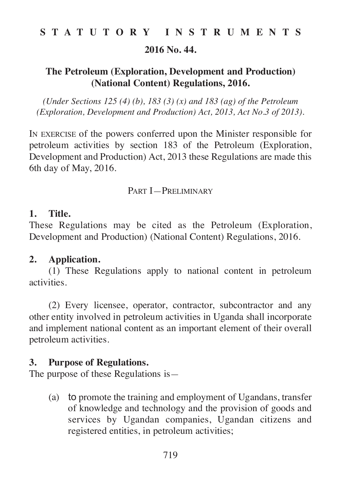**2016 No. 44.**

# **The Petroleum (Exploration, Development and Production) (National Content) Regulations, 2016.**

*(Under Sections 125 (4) (b), 183 (3) (x) and 183 (ag) of the Petroleum (Exploration, Development and Production) Act, 2013, Act No.3 of 2013).*

IN EXERCISE of the powers conferred upon the Minister responsible for petroleum activities by section 183 of the Petroleum (Exploration, Development and Production) Act, 2013 these Regulations are made this 6th day of May, 2016.

## PART I—PRELIMINARY

# **1. Title.**

These Regulations may be cited as the Petroleum (Exploration, Development and Production) (National Content) Regulations, 2016.

# **2. Application.**

(1) These Regulations apply to national content in petroleum activities.

(2) Every licensee, operator, contractor, subcontractor and any other entity involved in petroleum activities in Uganda shall incorporate and implement national content as an important element of their overall petroleum activities.

# **3. Purpose of Regulations.**

The purpose of these Regulations is—

(a) to promote the training and employment of Ugandans, transfer of knowledge and technology and the provision of goods and services by Ugandan companies, Ugandan citizens and registered entities, in petroleum activities;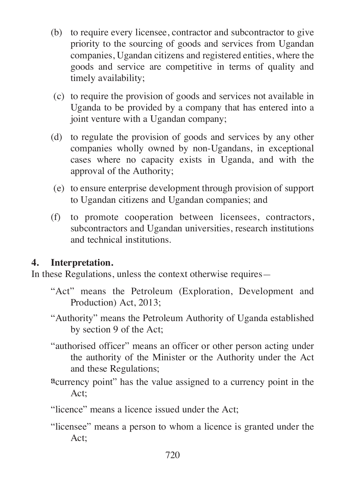- (b) to require every licensee, contractor and subcontractor to give priority to the sourcing of goods and services from Ugandan companies, Ugandan citizens and registered entities, where the goods and service are competitive in terms of quality and timely availability;
- (c) to require the provision of goods and services not available in Uganda to be provided by a company that has entered into a joint venture with a Ugandan company;
- (d) to regulate the provision of goods and services by any other companies wholly owned by non-Ugandans, in exceptional cases where no capacity exists in Uganda, and with the approval of the Authority;
- (e) to ensure enterprise development through provision of support to Ugandan citizens and Ugandan companies; and
- (f) to promote cooperation between licensees, contractors, subcontractors and Ugandan universities, research institutions and technical institutions.

# **4. Interpretation.**

In these Regulations, unless the context otherwise requires—

- "Act" means the Petroleum (Exploration, Development and Production) Act, 2013;
- "Authority" means the Petroleum Authority of Uganda established by section 9 of the Act;
- "authorised officer" means an officer or other person acting under the authority of the Minister or the Authority under the Act and these Regulations;
- <sup>a</sup> currency point" has the value assigned to a currency point in the Act;
- "licence" means a licence issued under the Act;
- "licensee" means a person to whom a licence is granted under the Act;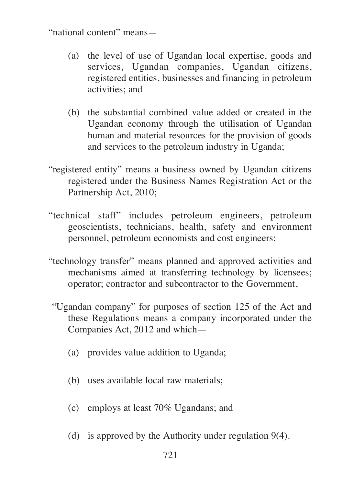"national content" means—

- (a) the level of use of Ugandan local expertise, goods and services, Ugandan companies, Ugandan citizens, registered entities, businesses and financing in petroleum activities; and
- (b) the substantial combined value added or created in the Ugandan economy through the utilisation of Ugandan human and material resources for the provision of goods and services to the petroleum industry in Uganda;
- "registered entity" means a business owned by Ugandan citizens registered under the Business Names Registration Act or the Partnership Act, 2010;
- "technical staff" includes petroleum engineers, petroleum geoscientists, technicians, health, safety and environment personnel, petroleum economists and cost engineers;
- "technology transfer" means planned and approved activities and mechanisms aimed at transferring technology by licensees; operator; contractor and subcontractor to the Government,
- "Ugandan company" for purposes of section 125 of the Act and these Regulations means a company incorporated under the Companies Act, 2012 and which—
	- (a) provides value addition to Uganda;
	- (b) uses available local raw materials;
	- (c) employs at least 70% Ugandans; and
	- (d) is approved by the Authority under regulation 9(4).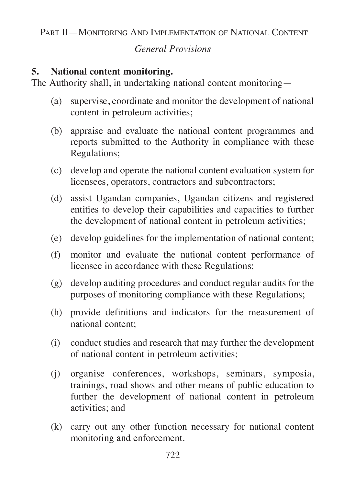PART II—MONITORING AND IMPLEMENTATION OF NATIONAL CONTENT

# *General Provisions*

# **5. National content monitoring.**

The Authority shall, in undertaking national content monitoring—

- (a) supervise, coordinate and monitor the development of national content in petroleum activities;
- (b) appraise and evaluate the national content programmes and reports submitted to the Authority in compliance with these Regulations;
- (c) develop and operate the national content evaluation system for licensees, operators, contractors and subcontractors;
- (d) assist Ugandan companies, Ugandan citizens and registered entities to develop their capabilities and capacities to further the development of national content in petroleum activities;
- (e) develop guidelines for the implementation of national content;
- (f) monitor and evaluate the national content performance of licensee in accordance with these Regulations;
- (g) develop auditing procedures and conduct regular audits for the purposes of monitoring compliance with these Regulations;
- (h) provide definitions and indicators for the measurement of national content;
- (i) conduct studies and research that may further the development of national content in petroleum activities;
- (j) organise conferences, workshops, seminars, symposia, trainings, road shows and other means of public education to further the development of national content in petroleum activities; and
- (k) carry out any other function necessary for national content monitoring and enforcement.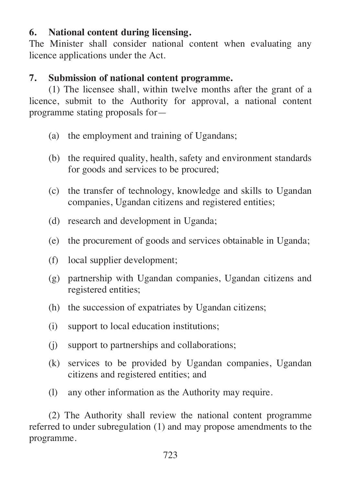# **6. National content during licensing.**

The Minister shall consider national content when evaluating any licence applications under the Act.

## **7. Submission of national content programme.**

(1) The licensee shall, within twelve months after the grant of a licence, submit to the Authority for approval, a national content programme stating proposals for—

- (a) the employment and training of Ugandans;
- (b) the required quality, health, safety and environment standards for goods and services to be procured;
- (c) the transfer of technology, knowledge and skills to Ugandan companies, Ugandan citizens and registered entities;
- (d) research and development in Uganda;
- (e) the procurement of goods and services obtainable in Uganda;
- (f) local supplier development;
- (g) partnership with Ugandan companies, Ugandan citizens and registered entities;
- (h) the succession of expatriates by Ugandan citizens;
- (i) support to local education institutions;
- (j) support to partnerships and collaborations;
- (k) services to be provided by Ugandan companies, Ugandan citizens and registered entities; and
- (l) any other information as the Authority may require.

(2) The Authority shall review the national content programme referred to under subregulation (1) and may propose amendments to the programme.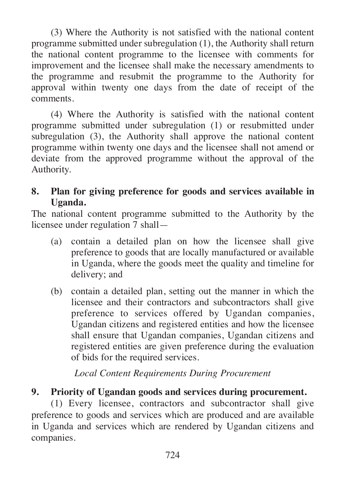(3) Where the Authority is not satisfied with the national content programme submitted under subregulation (1), the Authority shall return the national content programme to the licensee with comments for improvement and the licensee shall make the necessary amendments to the programme and resubmit the programme to the Authority for approval within twenty one days from the date of receipt of the comments.

(4) Where the Authority is satisfied with the national content programme submitted under subregulation (1) or resubmitted under subregulation (3), the Authority shall approve the national content programme within twenty one days and the licensee shall not amend or deviate from the approved programme without the approval of the Authority.

# **8. Plan for giving preference for goods and services available in Uganda.**

The national content programme submitted to the Authority by the licensee under regulation 7 shall—

- (a) contain a detailed plan on how the licensee shall give preference to goods that are locally manufactured or available in Uganda, where the goods meet the quality and timeline for delivery; and
- (b) contain a detailed plan, setting out the manner in which the licensee and their contractors and subcontractors shall give preference to services offered by Ugandan companies, Ugandan citizens and registered entities and how the licensee shall ensure that Ugandan companies, Ugandan citizens and registered entities are given preference during the evaluation of bids for the required services.

# *Local Content Requirements During Procurement*

# **9. Priority of Ugandan goods and services during procurement.**

(1) Every licensee, contractors and subcontractor shall give preference to goods and services which are produced and are available in Uganda and services which are rendered by Ugandan citizens and companies.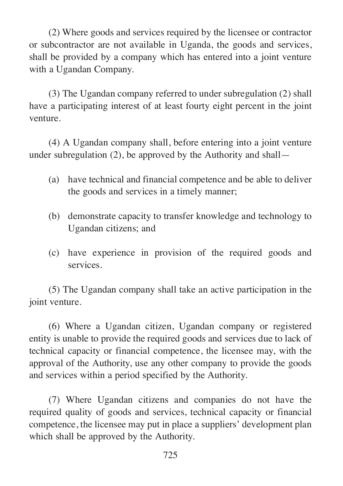(2) Where goods and services required by the licensee or contractor or subcontractor are not available in Uganda, the goods and services, shall be provided by a company which has entered into a joint venture with a Ugandan Company.

(3) The Ugandan company referred to under subregulation (2) shall have a participating interest of at least fourty eight percent in the joint venture.

(4) A Ugandan company shall, before entering into a joint venture under subregulation (2), be approved by the Authority and shall—

- (a) have technical and financial competence and be able to deliver the goods and services in a timely manner;
- (b) demonstrate capacity to transfer knowledge and technology to Ugandan citizens; and
- (c) have experience in provision of the required goods and services.

(5) The Ugandan company shall take an active participation in the joint venture.

(6) Where a Ugandan citizen, Ugandan company or registered entity is unable to provide the required goods and services due to lack of technical capacity or financial competence, the licensee may, with the approval of the Authority, use any other company to provide the goods and services within a period specified by the Authority.

(7) Where Ugandan citizens and companies do not have the required quality of goods and services, technical capacity or financial competence, the licensee may put in place a suppliers' development plan which shall be approved by the Authority.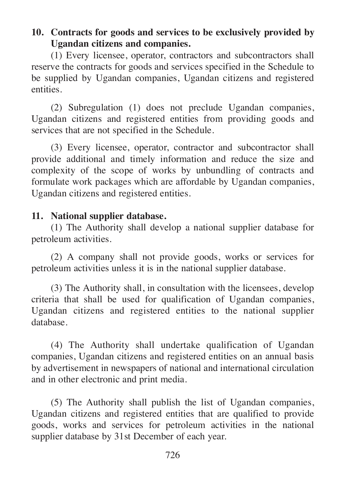# **10. Contracts for goods and services to be exclusively provided by Ugandan citizens and companies.**

(1) Every licensee, operator, contractors and subcontractors shall reserve the contracts for goods and services specified in the Schedule to be supplied by Ugandan companies, Ugandan citizens and registered entities.

(2) Subregulation (1) does not preclude Ugandan companies, Ugandan citizens and registered entities from providing goods and services that are not specified in the Schedule.

(3) Every licensee, operator, contractor and subcontractor shall provide additional and timely information and reduce the size and complexity of the scope of works by unbundling of contracts and formulate work packages which are affordable by Ugandan companies, Ugandan citizens and registered entities.

# **11. National supplier database.**

(1) The Authority shall develop a national supplier database for petroleum activities.

(2) A company shall not provide goods, works or services for petroleum activities unless it is in the national supplier database.

(3) The Authority shall, in consultation with the licensees, develop criteria that shall be used for qualification of Ugandan companies, Ugandan citizens and registered entities to the national supplier database.

(4) The Authority shall undertake qualification of Ugandan companies, Ugandan citizens and registered entities on an annual basis by advertisement in newspapers of national and international circulation and in other electronic and print media.

(5) The Authority shall publish the list of Ugandan companies, Ugandan citizens and registered entities that are qualified to provide goods, works and services for petroleum activities in the national supplier database by 31st December of each year.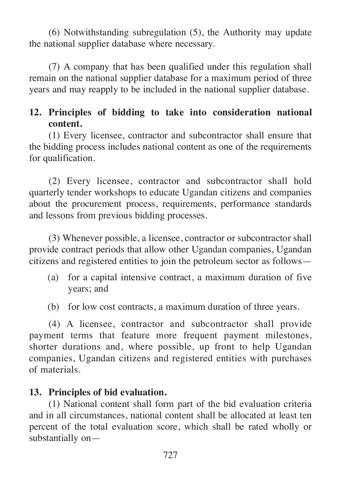(6) Notwithstanding subregulation (5), the Authority may update the national supplier database where necessary.

(7) A company that has been qualified under this regulation shall remain on the national supplier database for a maximum period of three years and may reapply to be included in the national supplier database.

# **12. Principles of bidding to take into consideration national content.**

(1) Every licensee, contractor and subcontractor shall ensure that the bidding process includes national content as one of the requirements for qualification.

(2) Every licensee, contractor and subcontractor shall hold quarterly tender workshops to educate Ugandan citizens and companies about the procurement process, requirements, performance standards and lessons from previous bidding processes.

(3) Whenever possible, a licensee, contractor or subcontractor shall provide contract periods that allow other Ugandan companies, Ugandan citizens and registered entities to join the petroleum sector as follows—

- (a) for a capital intensive contract, a maximum duration of five years; and
- (b) for low cost contracts, a maximum duration of three years.

(4) A licensee, contractor and subcontractor shall provide payment terms that feature more frequent payment milestones, shorter durations and, where possible, up front to help Ugandan companies, Ugandan citizens and registered entities with purchases of materials.

# **13. Principles of bid evaluation.**

(1) National content shall form part of the bid evaluation criteria and in all circumstances, national content shall be allocated at least ten percent of the total evaluation score, which shall be rated wholly or substantially on—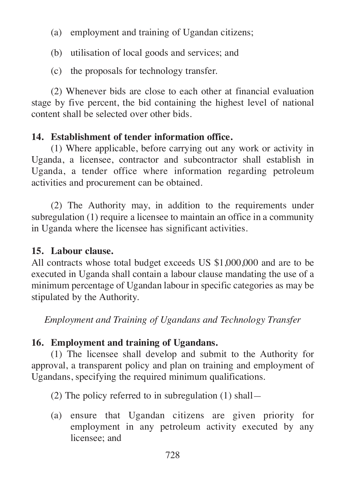- (a) employment and training of Ugandan citizens;
- (b) utilisation of local goods and services; and
- (c) the proposals for technology transfer.

(2) Whenever bids are close to each other at financial evaluation stage by five percent, the bid containing the highest level of national content shall be selected over other bids.

# **14. Establishment of tender information office.**

(1) Where applicable, before carrying out any work or activity in Uganda, a licensee, contractor and subcontractor shall establish in Uganda, a tender office where information regarding petroleum activities and procurement can be obtained.

(2) The Authority may, in addition to the requirements under subregulation (1) require a licensee to maintain an office in a community in Uganda where the licensee has significant activities.

# **15. Labour clause.**

All contracts whose total budget exceeds US \$1,000,000 and are to be executed in Uganda shall contain a labour clause mandating the use of a minimum percentage of Ugandan labour in specific categories as may be stipulated by the Authority.

*Employment and Training of Ugandans and Technology Transfer*

# **16. Employment and training of Ugandans.**

(1) The licensee shall develop and submit to the Authority for approval, a transparent policy and plan on training and employment of Ugandans, specifying the required minimum qualifications.

(2) The policy referred to in subregulation (1) shall—

(a) ensure that Ugandan citizens are given priority for employment in any petroleum activity executed by any licensee; and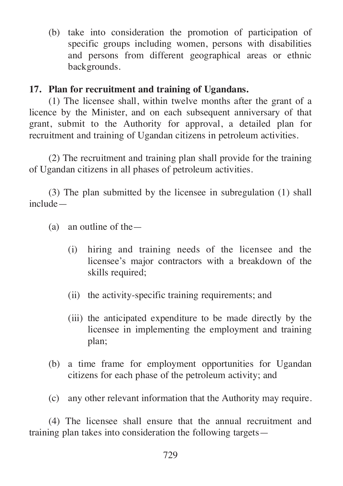(b) take into consideration the promotion of participation of specific groups including women, persons with disabilities and persons from different geographical areas or ethnic backgrounds.

# **17. Plan for recruitment and training of Ugandans.**

(1) The licensee shall, within twelve months after the grant of a licence by the Minister, and on each subsequent anniversary of that grant, submit to the Authority for approval, a detailed plan for recruitment and training of Ugandan citizens in petroleum activities.

(2) The recruitment and training plan shall provide for the training of Ugandan citizens in all phases of petroleum activities.

(3) The plan submitted by the licensee in subregulation (1) shall include—

- (a) an outline of the—
	- (i) hiring and training needs of the licensee and the licensee's major contractors with a breakdown of the skills required;
	- (ii) the activity-specific training requirements; and
	- (iii) the anticipated expenditure to be made directly by the licensee in implementing the employment and training plan;
- (b) a time frame for employment opportunities for Ugandan citizens for each phase of the petroleum activity; and
- (c) any other relevant information that the Authority may require.

(4) The licensee shall ensure that the annual recruitment and training plan takes into consideration the following targets—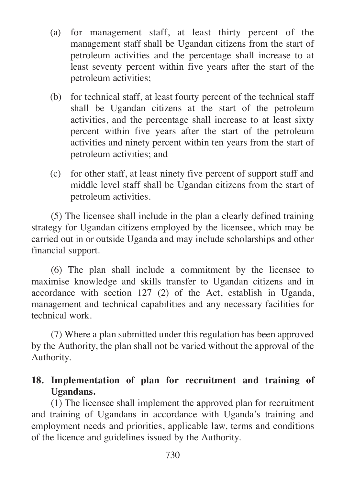- (a) for management staff, at least thirty percent of the management staff shall be Ugandan citizens from the start of petroleum activities and the percentage shall increase to at least seventy percent within five years after the start of the petroleum activities;
- (b) for technical staff, at least fourty percent of the technical staff shall be Ugandan citizens at the start of the petroleum activities, and the percentage shall increase to at least sixty percent within five years after the start of the petroleum activities and ninety percent within ten years from the start of petroleum activities; and
- (c) for other staff, at least ninety five percent of support staff and middle level staff shall be Ugandan citizens from the start of petroleum activities.

(5) The licensee shall include in the plan a clearly defined training strategy for Ugandan citizens employed by the licensee, which may be carried out in or outside Uganda and may include scholarships and other financial support.

(6) The plan shall include a commitment by the licensee to maximise knowledge and skills transfer to Ugandan citizens and in accordance with section 127 (2) of the Act, establish in Uganda, management and technical capabilities and any necessary facilities for technical work.

(7) Where a plan submitted under this regulation has been approved by the Authority, the plan shall not be varied without the approval of the Authority.

# **18. Implementation of plan for recruitment and training of Ugandans.**

(1) The licensee shall implement the approved plan for recruitment and training of Ugandans in accordance with Uganda's training and employment needs and priorities, applicable law, terms and conditions of the licence and guidelines issued by the Authority.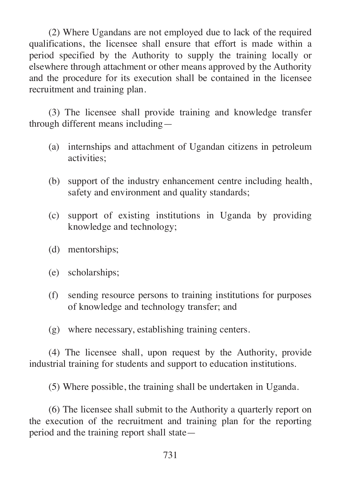(2) Where Ugandans are not employed due to lack of the required qualifications, the licensee shall ensure that effort is made within a period specified by the Authority to supply the training locally or elsewhere through attachment or other means approved by the Authority and the procedure for its execution shall be contained in the licensee recruitment and training plan.

(3) The licensee shall provide training and knowledge transfer through different means including—

- (a) internships and attachment of Ugandan citizens in petroleum activities;
- (b) support of the industry enhancement centre including health, safety and environment and quality standards;
- (c) support of existing institutions in Uganda by providing knowledge and technology;
- (d) mentorships;
- (e) scholarships;
- (f) sending resource persons to training institutions for purposes of knowledge and technology transfer; and
- (g) where necessary, establishing training centers.

(4) The licensee shall, upon request by the Authority, provide industrial training for students and support to education institutions.

(5) Where possible, the training shall be undertaken in Uganda.

(6) The licensee shall submit to the Authority a quarterly report on the execution of the recruitment and training plan for the reporting period and the training report shall state—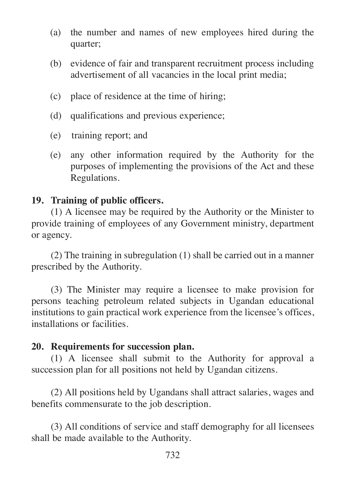- (a) the number and names of new employees hired during the quarter;
- (b) evidence of fair and transparent recruitment process including advertisement of all vacancies in the local print media;
- (c) place of residence at the time of hiring;
- (d) qualifications and previous experience;
- (e) training report; and
- (e) any other information required by the Authority for the purposes of implementing the provisions of the Act and these Regulations.

# **19. Training of public officers.**

(1) A licensee may be required by the Authority or the Minister to provide training of employees of any Government ministry, department or agency.

(2) The training in subregulation (1) shall be carried out in a manner prescribed by the Authority.

(3) The Minister may require a licensee to make provision for persons teaching petroleum related subjects in Ugandan educational institutions to gain practical work experience from the licensee's offices, installations or facilities.

# **20. Requirements for succession plan.**

(1) A licensee shall submit to the Authority for approval a succession plan for all positions not held by Ugandan citizens.

(2) All positions held by Ugandans shall attract salaries, wages and benefits commensurate to the job description.

(3) All conditions of service and staff demography for all licensees shall be made available to the Authority.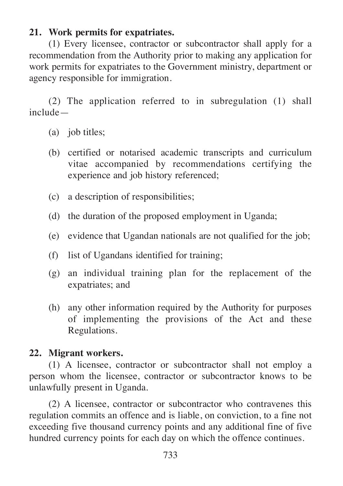# **21. Work permits for expatriates.**

(1) Every licensee, contractor or subcontractor shall apply for a recommendation from the Authority prior to making any application for work permits for expatriates to the Government ministry, department or agency responsible for immigration.

(2) The application referred to in subregulation (1) shall include—

- (a) job titles;
- (b) certified or notarised academic transcripts and curriculum vitae accompanied by recommendations certifying the experience and job history referenced;
- (c) a description of responsibilities;
- (d) the duration of the proposed employment in Uganda;
- (e) evidence that Ugandan nationals are not qualified for the job;
- (f) list of Ugandans identified for training;
- (g) an individual training plan for the replacement of the expatriates; and
- (h) any other information required by the Authority for purposes of implementing the provisions of the Act and these Regulations.

# **22. Migrant workers.**

(1) A licensee, contractor or subcontractor shall not employ a person whom the licensee, contractor or subcontractor knows to be unlawfully present in Uganda.

(2) A licensee, contractor or subcontractor who contravenes this regulation commits an offence and is liable, on conviction, to a fine not exceeding five thousand currency points and any additional fine of five hundred currency points for each day on which the offence continues.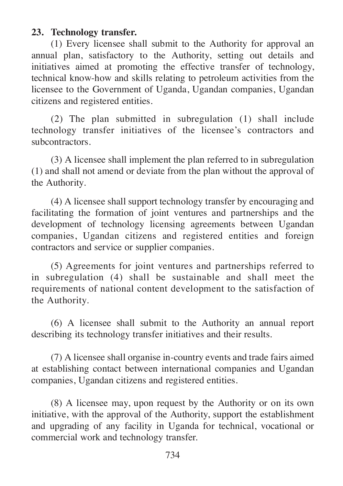#### **23. Technology transfer.**

(1) Every licensee shall submit to the Authority for approval an annual plan, satisfactory to the Authority, setting out details and initiatives aimed at promoting the effective transfer of technology, technical know-how and skills relating to petroleum activities from the licensee to the Government of Uganda, Ugandan companies, Ugandan citizens and registered entities.

(2) The plan submitted in subregulation (1) shall include technology transfer initiatives of the licensee's contractors and subcontractors.

(3) A licensee shall implement the plan referred to in subregulation (1) and shall not amend or deviate from the plan without the approval of the Authority.

(4) A licensee shall support technology transfer by encouraging and facilitating the formation of joint ventures and partnerships and the development of technology licensing agreements between Ugandan companies, Ugandan citizens and registered entities and foreign contractors and service or supplier companies.

(5) Agreements for joint ventures and partnerships referred to in subregulation (4) shall be sustainable and shall meet the requirements of national content development to the satisfaction of the Authority.

(6) A licensee shall submit to the Authority an annual report describing its technology transfer initiatives and their results.

(7) A licensee shall organise in-country events and trade fairs aimed at establishing contact between international companies and Ugandan companies, Ugandan citizens and registered entities.

(8) A licensee may, upon request by the Authority or on its own initiative, with the approval of the Authority, support the establishment and upgrading of any facility in Uganda for technical, vocational or commercial work and technology transfer.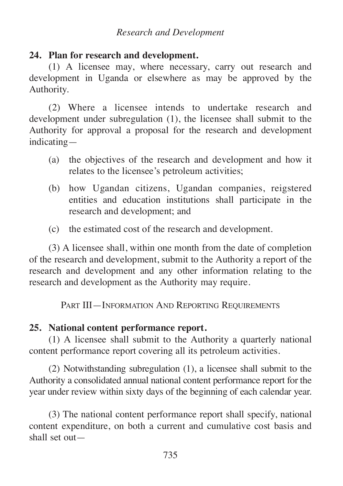## *Research and Development*

## **24. Plan for research and development.**

(1) A licensee may, where necessary, carry out research and development in Uganda or elsewhere as may be approved by the Authority.

(2) Where a licensee intends to undertake research and development under subregulation (1), the licensee shall submit to the Authority for approval a proposal for the research and development indicating—

- (a) the objectives of the research and development and how it relates to the licensee's petroleum activities;
- (b) how Ugandan citizens, Ugandan companies, reigstered entities and education institutions shall participate in the research and development; and
- (c) the estimated cost of the research and development.

(3) A licensee shall, within one month from the date of completion of the research and development, submit to the Authority a report of the research and development and any other information relating to the research and development as the Authority may require.

PART III—INFORMATION AND REPORTING REQUIREMENTS

# **25. National content performance report.**

(1) A licensee shall submit to the Authority a quarterly national content performance report covering all its petroleum activities.

(2) Notwithstanding subregulation (1), a licensee shall submit to the Authority a consolidated annual national content performance report for the year under review within sixty days of the beginning of each calendar year.

(3) The national content performance report shall specify, national content expenditure, on both a current and cumulative cost basis and shall set out—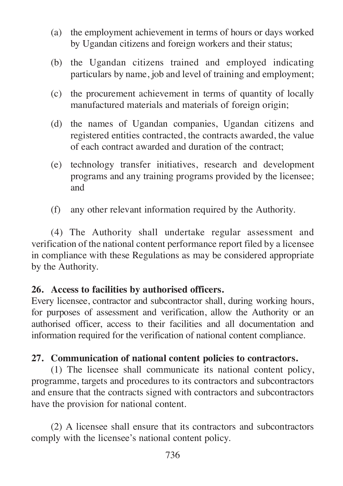- (a) the employment achievement in terms of hours or days worked by Ugandan citizens and foreign workers and their status;
- (b) the Ugandan citizens trained and employed indicating particulars by name, job and level of training and employment;
- (c) the procurement achievement in terms of quantity of locally manufactured materials and materials of foreign origin;
- (d) the names of Ugandan companies, Ugandan citizens and registered entities contracted, the contracts awarded, the value of each contract awarded and duration of the contract;
- (e) technology transfer initiatives, research and development programs and any training programs provided by the licensee; and
- (f) any other relevant information required by the Authority.

(4) The Authority shall undertake regular assessment and verification of the national content performance report filed by a licensee in compliance with these Regulations as may be considered appropriate by the Authority.

## **26. Access to facilities by authorised officers.**

Every licensee, contractor and subcontractor shall, during working hours, for purposes of assessment and verification, allow the Authority or an authorised officer, access to their facilities and all documentation and information required for the verification of national content compliance.

# **27. Communication of national content policies to contractors.**

(1) The licensee shall communicate its national content policy, programme, targets and procedures to its contractors and subcontractors and ensure that the contracts signed with contractors and subcontractors have the provision for national content.

(2) A licensee shall ensure that its contractors and subcontractors comply with the licensee's national content policy.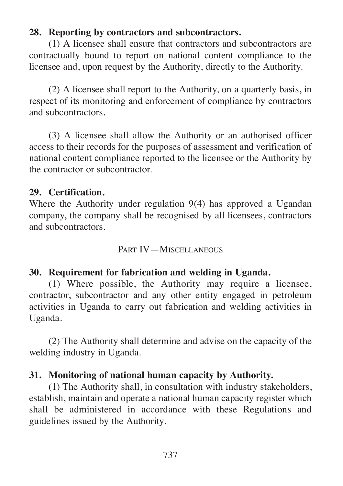# **28. Reporting by contractors and subcontractors.**

(1) A licensee shall ensure that contractors and subcontractors are contractually bound to report on national content compliance to the licensee and, upon request by the Authority, directly to the Authority.

(2) A licensee shall report to the Authority, on a quarterly basis, in respect of its monitoring and enforcement of compliance by contractors and subcontractors.

(3) A licensee shall allow the Authority or an authorised officer access to their records for the purposes of assessment and verification of national content compliance reported to the licensee or the Authority by the contractor or subcontractor.

# **29. Certification.**

Where the Authority under regulation 9(4) has approved a Ugandan company, the company shall be recognised by all licensees, contractors and subcontractors.

# PART IV—MISCELLANEOUS

# **30. Requirement for fabrication and welding in Uganda.**

(1) Where possible, the Authority may require a licensee, contractor, subcontractor and any other entity engaged in petroleum activities in Uganda to carry out fabrication and welding activities in Uganda.

(2) The Authority shall determine and advise on the capacity of the welding industry in Uganda.

# **31. Monitoring of national human capacity by Authority.**

(1) The Authority shall, in consultation with industry stakeholders, establish, maintain and operate a national human capacity register which shall be administered in accordance with these Regulations and guidelines issued by the Authority.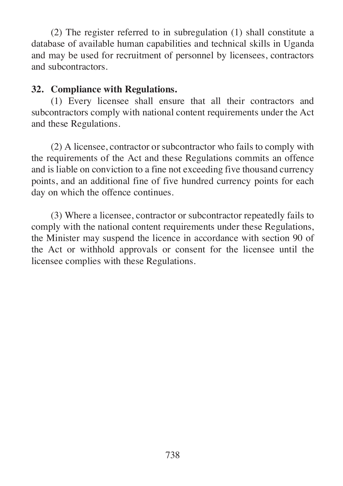(2) The register referred to in subregulation (1) shall constitute a database of available human capabilities and technical skills in Uganda and may be used for recruitment of personnel by licensees, contractors and subcontractors.

# **32. Compliance with Regulations.**

(1) Every licensee shall ensure that all their contractors and subcontractors comply with national content requirements under the Act and these Regulations.

(2) A licensee, contractor or subcontractor who fails to comply with the requirements of the Act and these Regulations commits an offence and is liable on conviction to a fine not exceeding five thousand currency points, and an additional fine of five hundred currency points for each day on which the offence continues.

(3) Where a licensee, contractor or subcontractor repeatedly fails to comply with the national content requirements under these Regulations, the Minister may suspend the licence in accordance with section 90 of the Act or withhold approvals or consent for the licensee until the licensee complies with these Regulations.